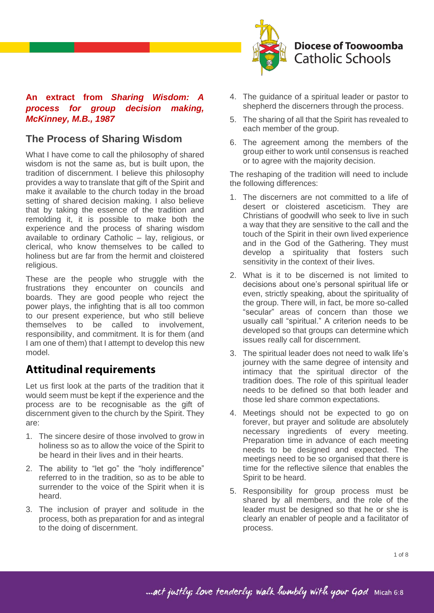

### **An extract from** *Sharing Wisdom: A process for group decision making, McKinney, M.B., 1987*

### **The Process of Sharing Wisdom**

What I have come to call the philosophy of shared wisdom is not the same as, but is built upon, the tradition of discernment. I believe this philosophy provides a way to translate that gift of the Spirit and make it available to the church today in the broad setting of shared decision making. I also believe that by taking the essence of the tradition and remolding it, it is possible to make both the experience and the process of sharing wisdom available to ordinary Catholic – lay, religious, or clerical, who know themselves to be called to holiness but are far from the hermit and cloistered religious.

These are the people who struggle with the frustrations they encounter on councils and boards. They are good people who reject the power plays, the infighting that is all too common to our present experience, but who still believe themselves to be called to involvement, responsibility, and commitment. It is for them (and I am one of them) that I attempt to develop this new model.

# **Attitudinal requirements**

Let us first look at the parts of the tradition that it would seem must be kept if the experience and the process are to be recognisable as the gift of discernment given to the church by the Spirit. They are:

- 1. The sincere desire of those involved to grow in holiness so as to allow the voice of the Spirit to be heard in their lives and in their hearts.
- 2. The ability to "let go" the "holy indifference" referred to in the tradition, so as to be able to surrender to the voice of the Spirit when it is heard.
- 3. The inclusion of prayer and solitude in the process, both as preparation for and as integral to the doing of discernment.
- 4. The guidance of a spiritual leader or pastor to shepherd the discerners through the process.
- 5. The sharing of all that the Spirit has revealed to each member of the group.
- 6. The agreement among the members of the group either to work until consensus is reached or to agree with the majority decision.

The reshaping of the tradition will need to include the following differences:

- 1. The discerners are not committed to a life of desert or cloistered asceticism. They are Christians of goodwill who seek to live in such a way that they are sensitive to the call and the touch of the Spirit in their own lived experience and in the God of the Gathering. They must develop a spirituality that fosters such sensitivity in the context of their lives.
- 2. What is it to be discerned is not limited to decisions about one's personal spiritual life or even, strictly speaking, about the spirituality of the group. There will, in fact, be more so-called "secular" areas of concern than those we usually call "spiritual." A criterion needs to be developed so that groups can determine which issues really call for discernment.
- 3. The spiritual leader does not need to walk life's journey with the same degree of intensity and intimacy that the spiritual director of the tradition does. The role of this spiritual leader needs to be defined so that both leader and those led share common expectations.
- 4. Meetings should not be expected to go on forever, but prayer and solitude are absolutely necessary ingredients of every meeting. Preparation time in advance of each meeting needs to be designed and expected. The meetings need to be so organised that there is time for the reflective silence that enables the Spirit to be heard.
- 5. Responsibility for group process must be shared by all members, and the role of the leader must be designed so that he or she is clearly an enabler of people and a facilitator of process.

mact justly; love tenderly; walk humbly with your God Micah 6:8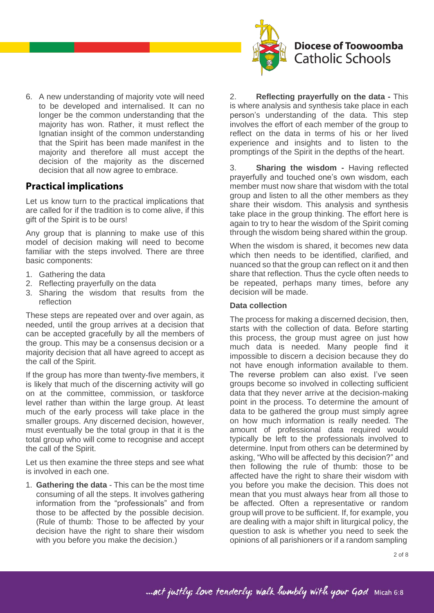

6. A new understanding of majority vote will need to be developed and internalised. It can no longer be the common understanding that the majority has won. Rather, it must reflect the Ignatian insight of the common understanding that the Spirit has been made manifest in the majority and therefore all must accept the decision of the majority as the discerned decision that all now agree to embrace.

### **Practical implications**

Let us know turn to the practical implications that are called for if the tradition is to come alive, if this gift of the Spirit is to be ours!

Any group that is planning to make use of this model of decision making will need to become familiar with the steps involved. There are three basic components:

- 1. Gathering the data
- 2. Reflecting prayerfully on the data
- 3. Sharing the wisdom that results from the reflection

These steps are repeated over and over again, as needed, until the group arrives at a decision that can be accepted gracefully by all the members of the group. This may be a consensus decision or a majority decision that all have agreed to accept as the call of the Spirit.

If the group has more than twenty-five members, it is likely that much of the discerning activity will go on at the committee, commission, or taskforce level rather than within the large group. At least much of the early process will take place in the smaller groups. Any discerned decision, however, must eventually be the total group in that it is the total group who will come to recognise and accept the call of the Spirit.

Let us then examine the three steps and see what is involved in each one.

1. **Gathering the data** - This can be the most time consuming of all the steps. It involves gathering information from the "professionals" and from those to be affected by the possible decision. (Rule of thumb: Those to be affected by your decision have the right to share their wisdom with you before you make the decision.)

2. **Reflecting prayerfully on the data -** This is where analysis and synthesis take place in each person's understanding of the data. This step involves the effort of each member of the group to reflect on the data in terms of his or her lived experience and insights and to listen to the promptings of the Spirit in the depths of the heart.

3. **Sharing the wisdom -** Having reflected prayerfully and touched one's own wisdom, each member must now share that wisdom with the total group and listen to all the other members as they share their wisdom. This analysis and synthesis take place in the group thinking. The effort here is again to try to hear the wisdom of the Spirit coming through the wisdom being shared within the group.

When the wisdom is shared, it becomes new data which then needs to be identified, clarified, and nuanced so that the group can reflect on it and then share that reflection. Thus the cycle often needs to be repeated, perhaps many times, before any decision will be made.

#### **Data collection**

The process for making a discerned decision, then, starts with the collection of data. Before starting this process, the group must agree on just how much data is needed. Many people find it impossible to discern a decision because they do not have enough information available to them. The reverse problem can also exist. I've seen groups become so involved in collecting sufficient data that they never arrive at the decision-making point in the process. To determine the amount of data to be gathered the group must simply agree on how much information is really needed. The amount of professional data required would typically be left to the professionals involved to determine. Input from others can be determined by asking, "Who will be affected by this decision?" and then following the rule of thumb: those to be affected have the right to share their wisdom with you before you make the decision. This does not mean that you must always hear from all those to be affected. Often a representative or random group will prove to be sufficient. If, for example, you are dealing with a major shift in liturgical policy, the question to ask is whether you need to seek the opinions of all parishioners or if a random sampling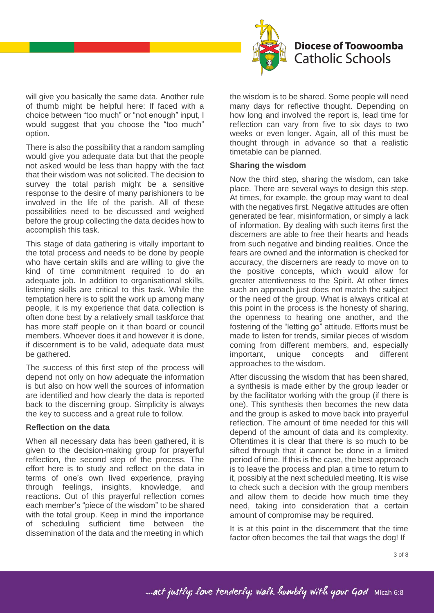

will give you basically the same data. Another rule of thumb might be helpful here: If faced with a choice between "too much" or "not enough" input, I would suggest that you choose the "too much" option.

There is also the possibility that a random sampling would give you adequate data but that the people not asked would be less than happy with the fact that their wisdom was not solicited. The decision to survey the total parish might be a sensitive response to the desire of many parishioners to be involved in the life of the parish. All of these possibilities need to be discussed and weighed before the group collecting the data decides how to accomplish this task.

This stage of data gathering is vitally important to the total process and needs to be done by people who have certain skills and are willing to give the kind of time commitment required to do an adequate job. In addition to organisational skills, listening skills are critical to this task. While the temptation here is to split the work up among many people, it is my experience that data collection is often done best by a relatively small taskforce that has more staff people on it than board or council members. Whoever does it and however it is done, if discernment is to be valid, adequate data must be gathered.

The success of this first step of the process will depend not only on how adequate the information is but also on how well the sources of information are identified and how clearly the data is reported back to the discerning group. Simplicity is always the key to success and a great rule to follow.

#### **Reflection on the data**

When all necessary data has been gathered, it is given to the decision-making group for prayerful reflection, the second step of the process. The effort here is to study and reflect on the data in terms of one's own lived experience, praying through feelings, insights, knowledge, and reactions. Out of this prayerful reflection comes each member's "piece of the wisdom" to be shared with the total group. Keep in mind the importance of scheduling sufficient time between the dissemination of the data and the meeting in which

the wisdom is to be shared. Some people will need many days for reflective thought. Depending on how long and involved the report is, lead time for reflection can vary from five to six days to two weeks or even longer. Again, all of this must be thought through in advance so that a realistic timetable can be planned.

#### **Sharing the wisdom**

Now the third step, sharing the wisdom, can take place. There are several ways to design this step. At times, for example, the group may want to deal with the negatives first. Negative attitudes are often generated be fear, misinformation, or simply a lack of information. By dealing with such items first the discerners are able to free their hearts and heads from such negative and binding realities. Once the fears are owned and the information is checked for accuracy, the discerners are ready to move on to the positive concepts, which would allow for greater attentiveness to the Spirit. At other times such an approach just does not match the subject or the need of the group. What is always critical at this point in the process is the honesty of sharing, the openness to hearing one another, and the fostering of the "letting go" attitude. Efforts must be made to listen for trends, similar pieces of wisdom coming from different members, and, especially important, unique concepts and different approaches to the wisdom.

After discussing the wisdom that has been shared, a synthesis is made either by the group leader or by the facilitator working with the group (if there is one). This synthesis then becomes the new data and the group is asked to move back into prayerful reflection. The amount of time needed for this will depend of the amount of data and its complexity. Oftentimes it is clear that there is so much to be sifted through that it cannot be done in a limited period of time. If this is the case, the best approach is to leave the process and plan a time to return to it, possibly at the next scheduled meeting. It is wise to check such a decision with the group members and allow them to decide how much time they need, taking into consideration that a certain amount of compromise may be required.

It is at this point in the discernment that the time factor often becomes the tail that wags the dog! If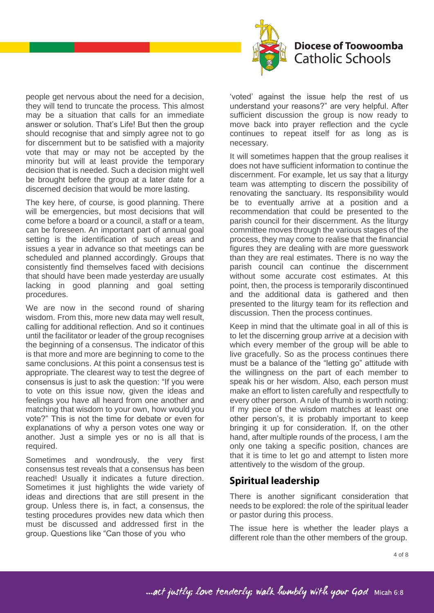

people get nervous about the need for a decision, they will tend to truncate the process. This almost may be a situation that calls for an immediate answer or solution. That's Life! But then the group should recognise that and simply agree not to go for discernment but to be satisfied with a majority vote that may or may not be accepted by the minority but will at least provide the temporary decision that is needed. Such a decision might well be brought before the group at a later date for a discerned decision that would be more lasting.

The key here, of course, is good planning. There will be emergencies, but most decisions that will come before a board or a council, a staff or a team, can be foreseen. An important part of annual goal setting is the identification of such areas and issues a year in advance so that meetings can be scheduled and planned accordingly. Groups that consistently find themselves faced with decisions that should have been made yesterday are usually lacking in good planning and goal setting procedures.

We are now in the second round of sharing wisdom. From this, more new data may well result, calling for additional reflection. And so it continues until the facilitator or leader of the group recognises the beginning of a consensus. The indicator of this is that more and more are beginning to come to the same conclusions. At this point a consensus test is appropriate. The clearest way to test the degree of consensus is just to ask the question: "If you were to vote on this issue now, given the ideas and feelings you have all heard from one another and matching that wisdom to your own, how would you vote?" This is not the time for debate or even for explanations of why a person votes one way or another. Just a simple yes or no is all that is required.

Sometimes and wondrously, the very first consensus test reveals that a consensus has been reached! Usually it indicates a future direction. Sometimes it just highlights the wide variety of ideas and directions that are still present in the group. Unless there is, in fact, a consensus, the testing procedures provides new data which then must be discussed and addressed first in the group. Questions like "Can those of you who

'voted' against the issue help the rest of us understand your reasons?" are very helpful. After sufficient discussion the group is now ready to move back into prayer reflection and the cycle continues to repeat itself for as long as is necessary.

It will sometimes happen that the group realises it does not have sufficient information to continue the discernment. For example, let us say that a liturgy team was attempting to discern the possibility of renovating the sanctuary. Its responsibility would be to eventually arrive at a position and a recommendation that could be presented to the parish council for their discernment. As the liturgy committee moves through the various stages of the process, they may come to realise that the financial figures they are dealing with are more guesswork than they are real estimates. There is no way the parish council can continue the discernment without some accurate cost estimates. At this point, then, the process is temporarily discontinued and the additional data is gathered and then presented to the liturgy team for its reflection and discussion. Then the process continues.

Keep in mind that the ultimate goal in all of this is to let the discerning group arrive at a decision with which every member of the group will be able to live gracefully. So as the process continues there must be a balance of the "letting go" attitude with the willingness on the part of each member to speak his or her wisdom. Also, each person must make an effort to listen carefully and respectfully to every other person. A rule of thumb is worth noting: If my piece of the wisdom matches at least one other person's, it is probably important to keep bringing it up for consideration. If, on the other hand, after multiple rounds of the process, I am the only one taking a specific position, chances are that it is time to let go and attempt to listen more attentively to the wisdom of the group.

### **Spiritual leadership**

There is another significant consideration that needs to be explored: the role of the spiritual leader or pastor during this process.

The issue here is whether the leader plays a different role than the other members of the group.

... act justly; love tenderly; walk humbly with your God Micah 6:8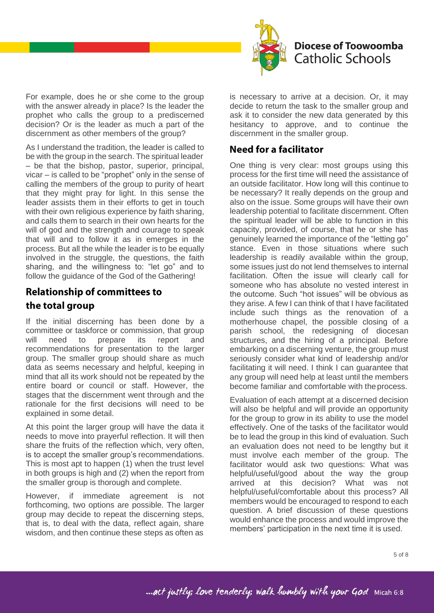

For example, does he or she come to the group with the answer already in place? Is the leader the prophet who calls the group to a prediscerned decision? Or is the leader as much a part of the discernment as other members of the group?

As I understand the tradition, the leader is called to be with the group in the search. The spiritual leader – be that the bishop, pastor, superior, principal, vicar – is called to be "prophet" only in the sense of calling the members of the group to purity of heart that they might pray for light. In this sense the leader assists them in their efforts to get in touch with their own religious experience by faith sharing, and calls them to search in their own hearts for the will of god and the strength and courage to speak that will and to follow it as in emerges in the process. But all the while the leader is to be equally involved in the struggle, the questions, the faith sharing, and the willingness to: "let go" and to follow the guidance of the God of the Gathering!

# **Relationship of committees to** the total group

If the initial discerning has been done by a committee or taskforce or commission, that group will need to prepare its report and recommendations for presentation to the larger group. The smaller group should share as much data as seems necessary and helpful, keeping in mind that all its work should not be repeated by the entire board or council or staff. However, the stages that the discernment went through and the rationale for the first decisions will need to be explained in some detail.

At this point the larger group will have the data it needs to move into prayerful reflection. It will then share the fruits of the reflection which, very often, is to accept the smaller group's recommendations. This is most apt to happen (1) when the trust level in both groups is high and (2) when the report from the smaller group is thorough and complete.

However, if immediate agreement is not forthcoming, two options are possible. The larger group may decide to repeat the discerning steps, that is, to deal with the data, reflect again, share wisdom, and then continue these steps as often as

is necessary to arrive at a decision. Or, it may decide to return the task to the smaller group and ask it to consider the new data generated by this hesitancy to approve, and to continue the discernment in the smaller group.

### **Need for a facilitator**

One thing is very clear: most groups using this process for the first time will need the assistance of an outside facilitator. How long will this continue to be necessary? It really depends on the group and also on the issue. Some groups will have their own leadership potential to facilitate discernment. Often the spiritual leader will be able to function in this capacity, provided, of course, that he or she has genuinely learned the importance of the "letting go" stance. Even in those situations where such leadership is readily available within the group, some issues just do not lend themselves to internal facilitation. Often the issue will clearly call for someone who has absolute no vested interest in the outcome. Such "hot issues" will be obvious as they arise. A few I can think of that I have facilitated include such things as the renovation of a motherhouse chapel, the possible closing of a parish school, the redesigning of diocesan structures, and the hiring of a principal. Before embarking on a discerning venture, the group must seriously consider what kind of leadership and/or facilitating it will need. I think I can guarantee that any group will need help at least until the members become familiar and comfortable with theprocess.

Evaluation of each attempt at a discerned decision will also be helpful and will provide an opportunity for the group to grow in its ability to use the model effectively. One of the tasks of the facilitator would be to lead the group in this kind of evaluation. Such an evaluation does not need to be lengthy but it must involve each member of the group. The facilitator would ask two questions: What was helpful/useful/good about the way the group arrived at this decision? What was not helpful/useful/comfortable about this process? All members would be encouraged to respond to each question. A brief discussion of these questions would enhance the process and would improve the members' participation in the next time it is used.

# ... act justly; love tenderly; walk humbly with your God Micah 6:8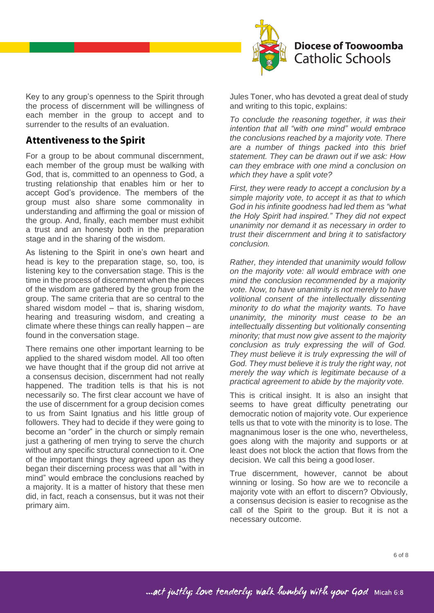

Key to any group's openness to the Spirit through the process of discernment will be willingness of each member in the group to accept and to surrender to the results of an evaluation.

### **Attentiveness to the Spirit**

For a group to be about communal discernment, each member of the group must be walking with God, that is, committed to an openness to God, a trusting relationship that enables him or her to accept God's providence. The members of the group must also share some commonality in understanding and affirming the goal or mission of the group. And, finally, each member must exhibit a trust and an honesty both in the preparation stage and in the sharing of the wisdom.

As listening to the Spirit in one's own heart and head is key to the preparation stage, so, too, is listening key to the conversation stage. This is the time in the process of discernment when the pieces of the wisdom are gathered by the group from the group. The same criteria that are so central to the shared wisdom model – that is, sharing wisdom, hearing and treasuring wisdom, and creating a climate where these things can really happen – are found in the conversation stage.

There remains one other important learning to be applied to the shared wisdom model. All too often we have thought that if the group did not arrive at a consensus decision, discernment had not really happened. The tradition tells is that his is not necessarily so. The first clear account we have of the use of discernment for a group decision comes to us from Saint Ignatius and his little group of followers. They had to decide if they were going to become an "order" in the church or simply remain just a gathering of men trying to serve the church without any specific structural connection to it. One of the important things they agreed upon as they began their discerning process was that all "with in mind" would embrace the conclusions reached by a majority. It is a matter of history that these men did, in fact, reach a consensus, but it was not their primary aim.

Jules Toner, who has devoted a great deal of study and writing to this topic, explains:

*To conclude the reasoning together, it was their intention that all "with one mind" would embrace the conclusions reached by a majority vote. There are a number of things packed into this brief statement. They can be drawn out if we ask: How can they embrace with one mind a conclusion on which they have a split vote?*

*First, they were ready to accept a conclusion by a simple majority vote, to accept it as that to which God in his infinite goodness had led them as "what the Holy Spirit had inspired." They did not expect unanimity nor demand it as necessary in order to trust their discernment and bring it to satisfactory conclusion.*

*Rather, they intended that unanimity would follow on the majority vote: all would embrace with one mind the conclusion recommended by a majority vote. Now, to have unanimity is not merely to have volitional consent of the intellectually dissenting minority to do what the majority wants. To have unanimity, the minority must cease to be an intellectually dissenting but volitionally consenting minority; that must now give assent to the majority conclusion as truly expressing the will of God. They must believe it is truly expressing the will of God. They must believe it is truly the right way, not merely the way which is legitimate because of a practical agreement to abide by the majority vote.*

This is critical insight. It is also an insight that seems to have great difficulty penetrating our democratic notion of majority vote. Our experience tells us that to vote with the minority is to lose. The magnanimous loser is the one who, nevertheless, goes along with the majority and supports or at least does not block the action that flows from the decision. We call this being a good loser.

True discernment, however, cannot be about winning or losing. So how are we to reconcile a majority vote with an effort to discern? Obviously, a consensus decision is easier to recognise as the call of the Spirit to the group. But it is not a necessary outcome.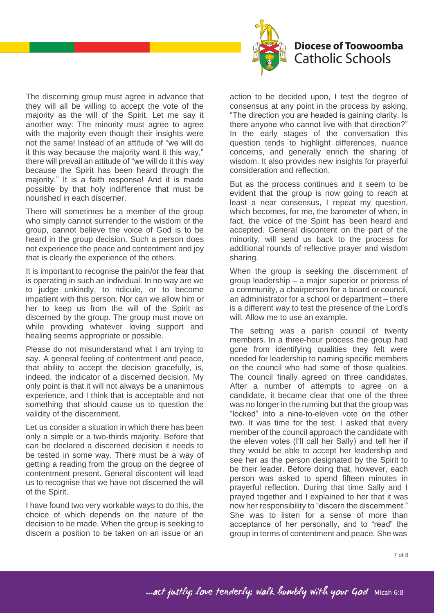

The discerning group must agree in advance that they will all be willing to accept the vote of the majority as the will of the Spirit. Let me say it another way: The minority must agree to agree with the majority even though their insights were not the same! Instead of an attitude of "we will do it this way because the majority want it this way," there will prevail an attitude of "we will do it this way because the Spirit has been heard through the majority." It is a faith response! And it is made possible by that holy indifference that must be nourished in each discerner.

There will sometimes be a member of the group who simply cannot surrender to the wisdom of the group, cannot believe the voice of God is to be heard in the group decision. Such a person does not experience the peace and contentment and joy that is clearly the experience of the others.

It is important to recognise the pain/or the fear that is operating in such an individual. In no way are we to judge unkindly, to ridicule, or to become impatient with this person. Nor can we allow him or her to keep us from the will of the Spirit as discerned by the group. The group must move on while providing whatever loving support and healing seems appropriate or possible.

Please do not misunderstand what I am trying to say. A general feeling of contentment and peace, that ability to accept the decision gracefully, is, indeed, the indicator of a discerned decision. My only point is that it will not always be a unanimous experience, and I think that is acceptable and not something that should cause us to question the validity of the discernment.

Let us consider a situation in which there has been only a simple or a two-thirds majority. Before that can be declared a discerned decision it needs to be tested in some way. There must be a way of getting a reading from the group on the degree of contentment present. General discontent will lead us to recognise that we have not discerned the will of the Spirit.

I have found two very workable ways to do this, the choice of which depends on the nature of the decision to be made. When the group is seeking to discern a position to be taken on an issue or an

action to be decided upon, I test the degree of consensus at any point in the process by asking, "The direction you are headed is gaining clarity. Is there anyone who cannot live with that direction?" In the early stages of the conversation this question tends to highlight differences, nuance concerns, and generally enrich the sharing of wisdom. It also provides new insights for prayerful consideration and reflection.

But as the process continues and it seem to be evident that the group is now going to reach at least a near consensus, I repeat my question, which becomes, for me, the barometer of when, in fact, the voice of the Spirit has been heard and accepted. General discontent on the part of the minority, will send us back to the process for additional rounds of reflective prayer and wisdom sharing.

When the group is seeking the discernment of group leadership – a major superior or prioress of a community, a chairperson for a board or council, an administrator for a school or department – there is a different way to test the presence of the Lord's will. Allow me to use an example.

The setting was a parish council of twenty members. In a three-hour process the group had gone from identifying qualities they felt were needed for leadership to naming specific members on the council who had some of those qualities. The council finally agreed on three candidates. After a number of attempts to agree on a candidate, it became clear that one of the three was no longer in the running but that the group was "locked" into a nine-to-eleven vote on the other two. It was time for the test. I asked that every member of the council approach the candidate with the eleven votes (I'll call her Sally) and tell her if they would be able to accept her leadership and see her as the person designated by the Spirit to be their leader. Before doing that, however, each person was asked to spend fifteen minutes in prayerful reflection. During that time Sally and I prayed together and I explained to her that it was now her responsibility to "discern the discernment." She was to listen for a sense of more than acceptance of her personally, and to "read" the group in terms of contentment and peace. She was

... act justly; love tenderly; walk humbly with your God Micah 6:8